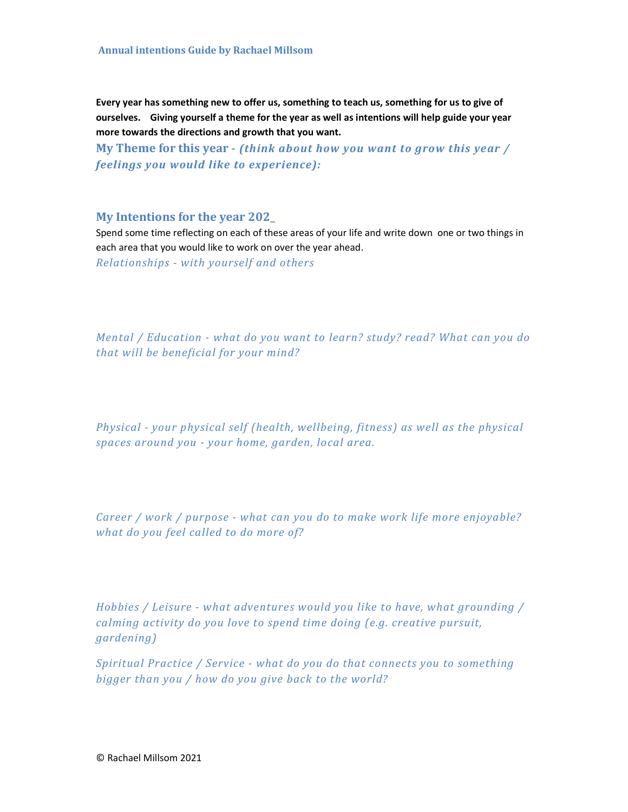Every year has something new to offer us, something to teach us, something for us to give of ourselves. Giving yourself a theme for the year as well as intentions will help guide your year more towards the directions and growth that you want.

My Theme for this year - (think about how you want to grow this year / feelings you would like to experience):

## My Intentions for the year 202\_

Spend some time reflecting on each of these areas of your life and write down one or two things in each area that you would like to work on over the year ahead. Relationships - with yourself and others

Mental / Education - what do you want to learn? study? read? What can you do that will be beneficial for your mind?

Physical - your physical self (health, wellbeing, fitness) as well as the physical spaces around you - your home, garden, local area.

Career / work / purpose - what can you do to make work life more enjoyable? what do you feel called to do more of?

Hobbies / Leisure - what adventures would you like to have, what grounding / calming activity do you love to spend time doing (e.g. creative pursuit, gardening)

Spiritual Practice / Service - what do you do that connects you to something bigger than you / how do you give back to the world?